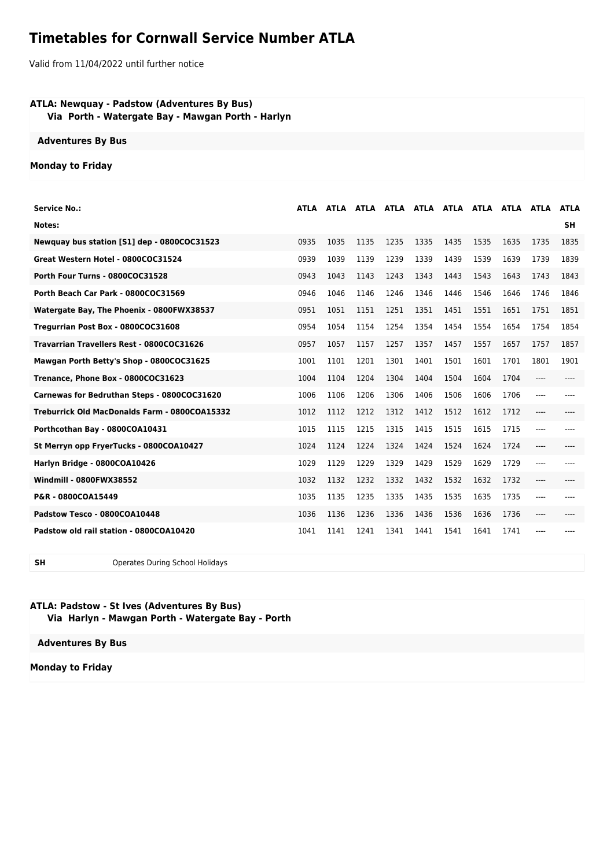# **Timetables for Cornwall Service Number ATLA**

Valid from 11/04/2022 until further notice

### **ATLA: Newquay - Padstow (Adventures By Bus) Via Porth - Watergate Bay - Mawgan Porth - Harlyn**

#### **Adventures By Bus**

## **Monday to Friday**

| <b>Service No.:</b>                           | ATLA | ATLA |      |      | ATLA ATLA ATLA ATLA ATLA ATLA ATLA |      |      |      |       | <b>ATLA</b> |
|-----------------------------------------------|------|------|------|------|------------------------------------|------|------|------|-------|-------------|
| Notes:                                        |      |      |      |      |                                    |      |      |      |       | <b>SH</b>   |
| Newquay bus station [S1] dep - 0800COC31523   | 0935 | 1035 | 1135 | 1235 | 1335                               | 1435 | 1535 | 1635 | 1735  | 1835        |
| Great Western Hotel - 0800COC31524            | 0939 | 1039 | 1139 | 1239 | 1339                               | 1439 | 1539 | 1639 | 1739  | 1839        |
| Porth Four Turns - 0800COC31528               | 0943 | 1043 | 1143 | 1243 | 1343                               | 1443 | 1543 | 1643 | 1743  | 1843        |
| Porth Beach Car Park - 0800COC31569           | 0946 | 1046 | 1146 | 1246 | 1346                               | 1446 | 1546 | 1646 | 1746  | 1846        |
| Watergate Bay, The Phoenix - 0800FWX38537     | 0951 | 1051 | 1151 | 1251 | 1351                               | 1451 | 1551 | 1651 | 1751  | 1851        |
| Tregurrian Post Box - 0800COC31608            | 0954 | 1054 | 1154 | 1254 | 1354                               | 1454 | 1554 | 1654 | 1754  | 1854        |
| Travarrian Travellers Rest - 0800COC31626     | 0957 | 1057 | 1157 | 1257 | 1357                               | 1457 | 1557 | 1657 | 1757  | 1857        |
| Mawgan Porth Betty's Shop - 0800COC31625      | 1001 | 1101 | 1201 | 1301 | 1401                               | 1501 | 1601 | 1701 | 1801  | 1901        |
| Trenance, Phone Box - 0800COC31623            | 1004 | 1104 | 1204 | 1304 | 1404                               | 1504 | 1604 | 1704 | $---$ |             |
| Carnewas for Bedruthan Steps - 0800COC31620   | 1006 | 1106 | 1206 | 1306 | 1406                               | 1506 | 1606 | 1706 | $---$ |             |
| Treburrick Old MacDonalds Farm - 0800COA15332 | 1012 | 1112 | 1212 | 1312 | 1412                               | 1512 | 1612 | 1712 |       |             |
| Porthcothan Bay - 0800COA10431                | 1015 | 1115 | 1215 | 1315 | 1415                               | 1515 | 1615 | 1715 |       |             |
| St Merryn opp FryerTucks - 0800COA10427       | 1024 | 1124 | 1224 | 1324 | 1424                               | 1524 | 1624 | 1724 | $---$ |             |
| Harlyn Bridge - 0800COA10426                  | 1029 | 1129 | 1229 | 1329 | 1429                               | 1529 | 1629 | 1729 | ----  |             |
| <b>Windmill - 0800FWX38552</b>                | 1032 | 1132 | 1232 | 1332 | 1432                               | 1532 | 1632 | 1732 | ----  |             |
| P&R - 0800COA15449                            | 1035 | 1135 | 1235 | 1335 | 1435                               | 1535 | 1635 | 1735 | ----  |             |
| Padstow Tesco - 0800COA10448                  | 1036 | 1136 | 1236 | 1336 | 1436                               | 1536 | 1636 | 1736 | ----  |             |
| Padstow old rail station - 0800COA10420       | 1041 | 1141 | 1241 | 1341 | 1441                               | 1541 | 1641 | 1741 |       |             |

**SH** Operates During School Holidays

## **ATLA: Padstow - St Ives (Adventures By Bus) Via Harlyn - Mawgan Porth - Watergate Bay - Porth**

**Adventures By Bus**

**Monday to Friday**